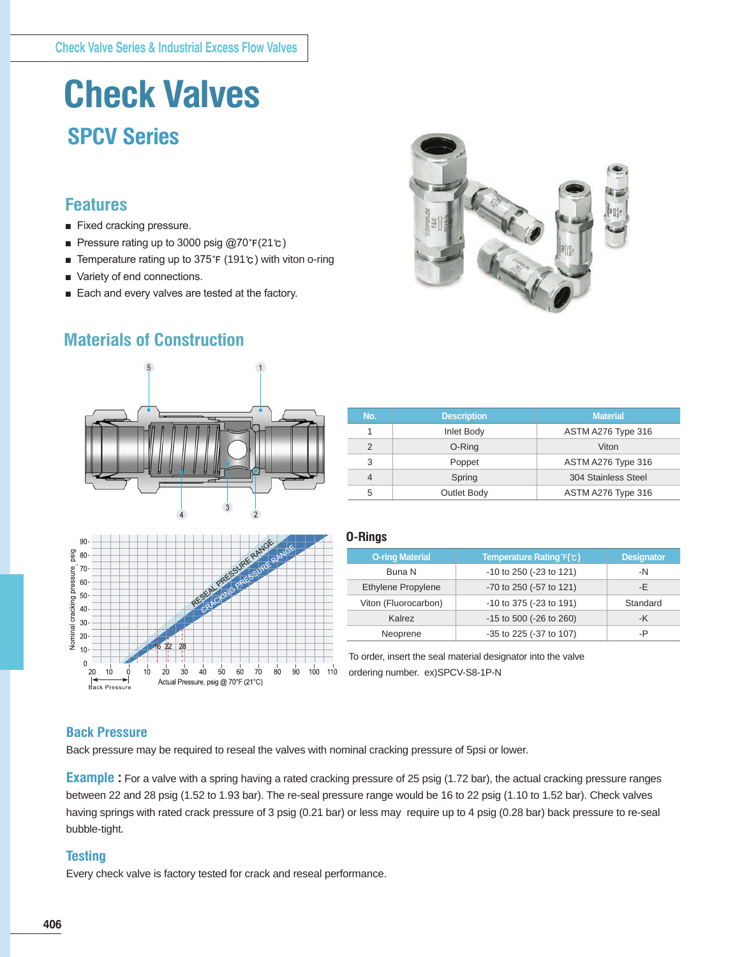# **Check Valves SPCV Series**

## **Features**

- Fixed cracking pressure.
- Pressure rating up to 3000 psig @70°F(21℃)
- Temperature rating up to 375°F (191℃) with viton o-ring
- Variety of end connections.
- Each and every valves are tested at the factory.









| No.           | <b>Description</b> | <b>Material</b>     |
|---------------|--------------------|---------------------|
|               | Inlet Body         | ASTM A276 Type 316  |
| $\mathcal{P}$ | O-Ring             | Viton               |
| 3             | Poppet             | ASTM A276 Type 316  |
| 4             | Spring             | 304 Stainless Steel |
| 5             | Outlet Body        | ASTM A276 Type 316  |

#### **O-Rings**

| <b>O-ring Material</b> | Temperature Rating F(c) | <b>Designator</b> |
|------------------------|-------------------------|-------------------|
| Buna N                 | -10 to 250 (-23 to 121) | $-N$              |
| Ethylene Propylene     | -70 to 250 (-57 to 121) | -E                |
| Viton (Fluorocarbon)   | -10 to 375 (-23 to 191) | Standard          |
| Kalrez                 | -15 to 500 (-26 to 260) | -K                |
| Neoprene               | -35 to 225 (-37 to 107) | -P                |

To order, insert the seal material designator into the valve ordering number. ex)SPCV-S8-1P-N

### **Back Pressure**

Back pressure may be required to reseal the valves with nominal cracking pressure of 5psi or lower.

**Example :** For a valve with a spring having a rated cracking pressure of 25 psig (1.72 bar), the actual cracking pressure ranges between 22 and 28 psig (1.52 to 1.93 bar). The re-seal pressure range would be 16 to 22 psig (1.10 to 1.52 bar). Check valves having springs with rated crack pressure of 3 psig (0.21 bar) or less may require up to 4 psig (0.28 bar) back pressure to re-seal bubble-tight.

### **Testing**

Every check valve is factory tested for crack and reseal performance.